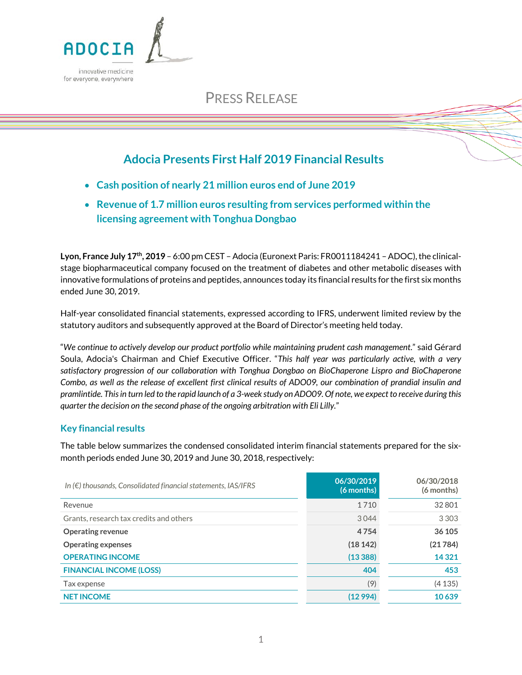

# PRESS RELEASE

## **Adocia Presents First Half 2019 Financial Results**

- **Cash position of nearly 21 million euros end of June 2019**
- **Revenue of 1.7 million euros resulting from services performed within the licensing agreement with Tonghua Dongbao**

Lyon, France July 17<sup>th</sup>, 2019 – 6:00 pm CEST – Adocia (Euronext Paris: FR0011184241 – ADOC), the clinicalstage biopharmaceutical company focused on the treatment of diabetes and other metabolic diseases with innovative formulations of proteins and peptides, announces today its financial results for the first six months ended June 30, 2019.

Half-year consolidated financial statements, expressed according to IFRS, underwent limited review by the statutory auditors and subsequently approved at the Board of Director's meeting held today.

"*We continue to actively develop our product portfolio while maintaining prudent cash management*." said Gérard Soula, Adocia's Chairman and Chief Executive Officer. "*This half year was particularly active, with a very satisfactory progression of our collaboration with Tonghua Dongbao on BioChaperone Lispro and BioChaperone Combo, as well as the release of excellent first clinical results of ADO09, our combination of prandial insulin and pramlintide. This in turn led to the rapid launch of a 3-week study on ADO09. Of note, we expect to receive during this quarter the decision on the second phase of the ongoing arbitration with Eli Lilly.*"

## **Key financial results**

The table below summarizes the condensed consolidated interim financial statements prepared for the sixmonth periods ended June 30, 2019 and June 30, 2018, respectively:

| In $(E)$ thousands, Consolidated financial statements, IAS/IFRS | 06/30/2019<br>(6 months) | 06/30/2018<br>(6 months) |
|-----------------------------------------------------------------|--------------------------|--------------------------|
| Revenue                                                         | 1710                     | 32801                    |
| Grants, research tax credits and others                         | 3044                     | 3 3 0 3                  |
| <b>Operating revenue</b>                                        | 4754                     | 36 105                   |
| <b>Operating expenses</b>                                       | (18142)                  | (21784)                  |
| <b>OPERATING INCOME</b>                                         | (13388)                  | 14 3 21                  |
| <b>FINANCIAL INCOME (LOSS)</b>                                  | 404                      | 453                      |
| Tax expense                                                     | (9)                      | (4135)                   |
| <b>NET INCOME</b>                                               | (12994)                  | 10639                    |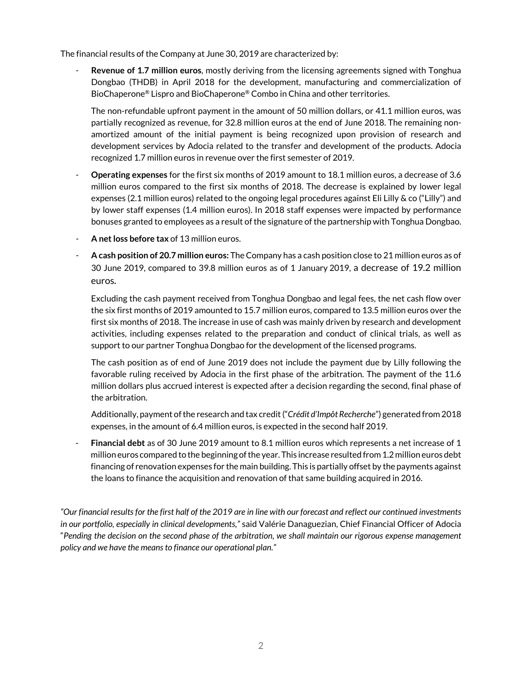The financial results of the Company at June 30, 2019 are characterized by:

- **Revenue of 1.7 million euros**, mostly deriving from the licensing agreements signed with Tonghua Dongbao (THDB) in April 2018 for the development, manufacturing and commercialization of BioChaperone® Lispro and BioChaperone® Combo in China and other territories.

The non-refundable upfront payment in the amount of 50 million dollars, or 41.1 million euros, was partially recognized as revenue, for 32.8 million euros at the end of June 2018. The remaining nonamortized amount of the initial payment is being recognized upon provision of research and development services by Adocia related to the transfer and development of the products. Adocia recognized 1.7 million euros in revenue over the first semester of 2019.

- **Operating expenses** for the first six months of 2019 amount to 18.1 million euros, a decrease of 3.6 million euros compared to the first six months of 2018. The decrease is explained by lower legal expenses (2.1 million euros) related to the ongoing legal procedures against Eli Lilly & co ("Lilly") and by lower staff expenses (1.4 million euros). In 2018 staff expenses were impacted by performance bonuses granted to employees as a result of the signature of the partnership with Tonghua Dongbao.
- **A net loss before tax** of 13 million euros.
- **A cash position of 20.7 million euros:** TheCompany has a cash position close to 21 million euros as of 30 June 2019, compared to 39.8 million euros as of 1 January 2019, a decrease of 19.2 million euros**.**

Excluding the cash payment received from Tonghua Dongbao and legal fees, the net cash flow over the six first months of 2019 amounted to 15.7 million euros, compared to 13.5 million euros over the first six months of 2018. The increase in use of cash was mainly driven by research and development activities, including expenses related to the preparation and conduct of clinical trials, as well as support to our partner Tonghua Dongbao for the development of the licensed programs.

The cash position as of end of June 2019 does not include the payment due by Lilly following the favorable ruling received by Adocia in the first phase of the arbitration. The payment of the 11.6 million dollars plus accrued interest is expected after a decision regarding the second, final phase of the arbitration.

Additionally, payment of the research and tax credit("*Crédit d'Impôt Recherche*") generated from 2018 expenses, in the amount of 6.4 million euros, is expected in the second half 2019.

- **Financial debt** as of 30 June 2019 amount to 8.1 million euros which represents a net increase of 1 million euros compared to the beginning of the year. This increase resulted from 1.2 million euros debt financing of renovation expenses for the main building. This is partially offset by the payments against the loans to finance the acquisition and renovation of that same building acquired in 2016.

*"Our financial results for the first half of the 2019 are in line with our forecast and reflect our continued investments in our portfolio, especially in clinical developments,"* said Valérie Danaguezian, Chief Financial Officer of Adocia "*Pending the decision on the second phase of the arbitration, we shall maintain our rigorous expense management policy and we have the means to finance our operational plan."*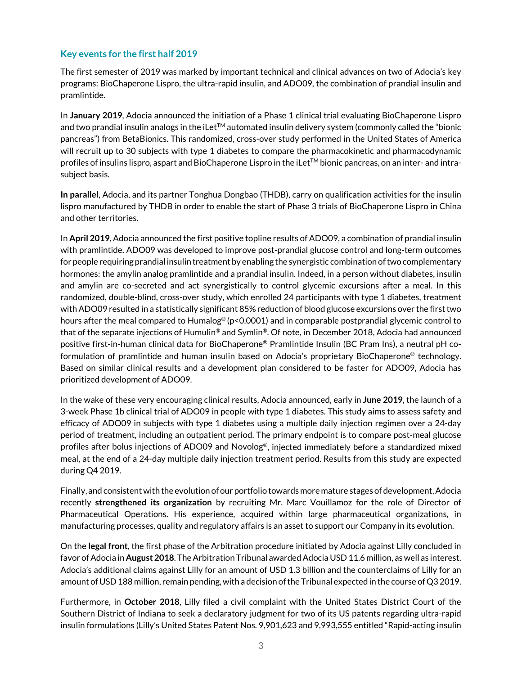## **Key events for the first half 2019**

The first semester of 2019 was marked by important technical and clinical advances on two of Adocia's key programs: BioChaperone Lispro, the ultra-rapid insulin, and ADO09, the combination of prandial insulin and pramlintide.

In **January 2019**, Adocia announced the initiation of a Phase 1 clinical trial evaluating BioChaperone Lispro and two prandial insulin analogs in the iLet™ automated insulin delivery system (commonly called the "bionic pancreas") from BetaBionics. This randomized, cross-over study performed in the United States of America will recruit up to 30 subjects with type 1 diabetes to compare the pharmacokinetic and pharmacodynamic profiles of insulins lispro, aspart and BioChaperone Lispro in the iLet™ bionic pancreas, on an inter- and intrasubject basis.

**In parallel**, Adocia, and its partner Tonghua Dongbao (THDB), carry on qualification activities for the insulin lispro manufactured by THDB in order to enable the start of Phase 3 trials of BioChaperone Lispro in China and other territories.

In **April 2019**, Adocia announced the first positive topline results of ADO09, a combination of prandial insulin with pramlintide. ADO09 was developed to improve post-prandial glucose control and long-term outcomes for people requiring prandial insulin treatment by enabling the synergistic combination of two complementary hormones: the amylin analog pramlintide and a prandial insulin. Indeed, in a person without diabetes, insulin and amylin are co-secreted and act synergistically to control glycemic excursions after a meal. In this randomized, double-blind, cross-over study, which enrolled 24 participants with type 1 diabetes, treatment with ADO09 resulted in a statistically significant 85% reduction of blood glucose excursions over the first two hours after the meal compared to Humalog® (p<0.0001) and in comparable postprandial glycemic control to that of the separate injections of Humulin® and Symlin®. Of note, in December 2018, Adocia had announced positive first-in-human clinical data for BioChaperone® Pramlintide Insulin (BC Pram Ins), a neutral pH coformulation of pramlintide and human insulin based on Adocia's proprietary BioChaperone® technology. Based on similar clinical results and a development plan considered to be faster for ADO09, Adocia has prioritized development of ADO09.

In the wake of these very encouraging clinical results, Adocia announced, early in **June 2019**, the launch of a 3-week Phase 1b clinical trial of ADO09 in people with type 1 diabetes. This study aims to assess safety and efficacy of ADO09 in subjects with type 1 diabetes using a multiple daily injection regimen over a 24-day period of treatment, including an outpatient period. The primary endpoint is to compare post-meal glucose profiles after bolus injections of ADO09 and Novolog®, injected immediately before a standardized mixed meal, at the end of a 24-day multiple daily injection treatment period. Results from this study are expected during Q4 2019.

Finally, and consistent with the evolution of our portfolio towards more mature stages of development, Adocia recently **strengthened its organization** by recruiting Mr. Marc Vouillamoz for the role of Director of Pharmaceutical Operations. His experience, acquired within large pharmaceutical organizations, in manufacturing processes, quality and regulatory affairs is an asset to support our Company in its evolution.

On the **legal front**, the first phase of the Arbitration procedure initiated by Adocia against Lilly concluded in favor of Adocia in **August 2018**. The Arbitration Tribunal awarded Adocia USD 11.6 million, as well as interest. Adocia's additional claims against Lilly for an amount of USD 1.3 billion and the counterclaims of Lilly for an amount of USD 188 million, remain pending, with a decision of the Tribunal expected in the course of Q3 2019.

Furthermore, in **October 2018**, Lilly filed a civil complaint with the United States District Court of the Southern District of Indiana to seek a declaratory judgment for two of its US patents regarding ultra-rapid insulin formulations (Lilly's United States Patent Nos. 9,901,623 and 9,993,555 entitled "Rapid-acting insulin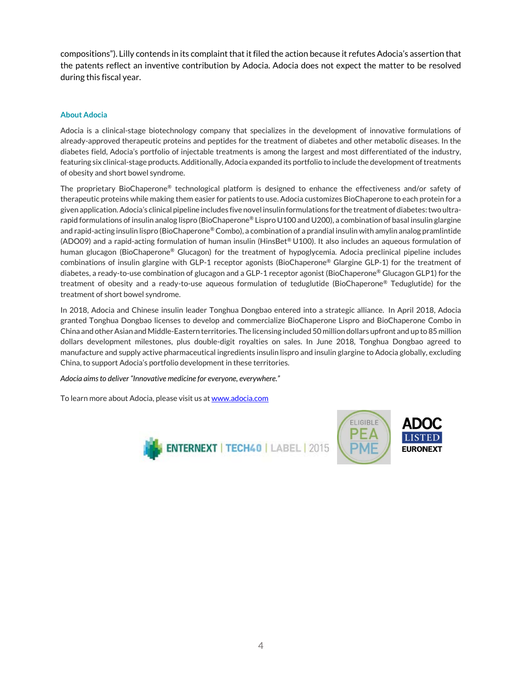compositions"). Lilly contends in its complaint that itfiled the action because it refutes Adocia's assertion that the patents reflect an inventive contribution by Adocia. Adocia does not expect the matter to be resolved during this fiscal year.

### **About Adocia**

Adocia is a clinical-stage biotechnology company that specializes in the development of innovative formulations of already-approved therapeutic proteins and peptides for the treatment of diabetes and other metabolic diseases. In the diabetes field, Adocia's portfolio of injectable treatments is among the largest and most differentiated of the industry, featuring six clinical-stage products. Additionally, Adocia expanded its portfolio to include the development of treatments of obesity and short bowel syndrome.

The proprietary BioChaperone® technological platform is designed to enhance the effectiveness and/or safety of therapeutic proteins while making them easier for patients to use. Adocia customizes BioChaperone to each protein for a given application. Adocia's clinical pipeline includes five novel insulin formulations for the treatment of diabetes: two ultrarapid formulations of insulin analog lispro (BioChaperone® Lispro U100 and U200), a combination of basal insulin glargine and rapid-acting insulin lispro (BioChaperone<sup>®</sup> Combo), a combination of a prandial insulin with amylin analog pramlintide (ADO09) and a rapid-acting formulation of human insulin (HinsBet® U100). It also includes an aqueous formulation of human glucagon (BioChaperone® Glucagon) for the treatment of hypoglycemia. Adocia preclinical pipeline includes combinations of insulin glargine with GLP-1 receptor agonists (BioChaperone® Glargine GLP-1) for the treatment of diabetes, a ready-to-use combination of glucagon and a GLP-1 receptor agonist (BioChaperone® Glucagon GLP1) for the treatment of obesity and a ready-to-use aqueous formulation of teduglutide (BioChaperone® Teduglutide) for the treatment of short bowel syndrome.

In 2018, Adocia and Chinese insulin leader Tonghua Dongbao entered into a strategic alliance. In April 2018, Adocia granted Tonghua Dongbao licenses to develop and commercialize BioChaperone Lispro and BioChaperone Combo in China and other Asian and Middle-Eastern territories. The licensing included 50 million dollars upfront and up to 85 million dollars development milestones, plus double-digit royalties on sales. In June 2018, Tonghua Dongbao agreed to manufacture and supply active pharmaceutical ingredients insulin lispro and insulin glargine to Adocia globally, excluding China, to support Adocia's portfolio development in these territories.

*Adocia aims to deliver "Innovative medicine for everyone, everywhere."*

To learn more about Adocia, please visit us a[t www.adocia.com](http://www.adocia.com/)



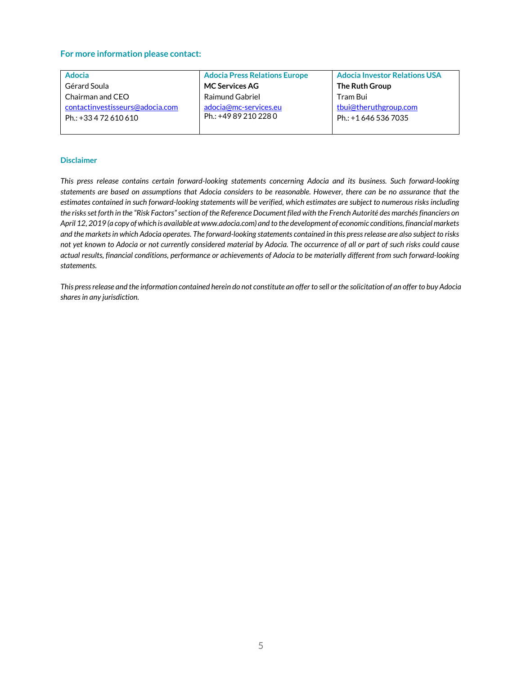#### **For more information please contact:**

| <b>Adocia</b>                   | <b>Adocia Press Relations Europe</b> | <b>Adocia Investor Relations USA</b> |
|---------------------------------|--------------------------------------|--------------------------------------|
| Gérard Soula                    | <b>MC Services AG</b>                | <b>The Ruth Group</b>                |
| Chairman and CEO                | Raimund Gabriel                      | Tram Bui                             |
| contactinvestisseurs@adocia.com | adocia@mc-services.eu                | tbui@theruthgroup.com                |
| Ph.: +33 4 72 610 610           | Ph.: +49 89 210 228 0                | Ph.: +1 646 536 7035                 |
|                                 |                                      |                                      |

#### **Disclaimer**

*This press release contains certain forward-looking statements concerning Adocia and its business. Such forward-looking statements are based on assumptions that Adocia considers to be reasonable. However, there can be no assurance that the estimates contained in such forward-looking statements will be verified, which estimates are subject to numerous risks including the risks set forth in the "Risk Factors" section of the Reference Document filed with the French Autorité des marchés financiers on April 12, 2019 (a copy of which is available at www.adocia.com) and to the development of economic conditions, financial markets and the markets in which Adocia operates. The forward-looking statements contained in this press release are also subject to risks not yet known to Adocia or not currently considered material by Adocia. The occurrence of all or part of such risks could cause actual results, financial conditions, performance or achievements of Adocia to be materially different from such forward-looking statements.*

*This press release and the information contained herein do not constitute an offer to sell or the solicitation of an offer to buy Adocia shares in any jurisdiction.*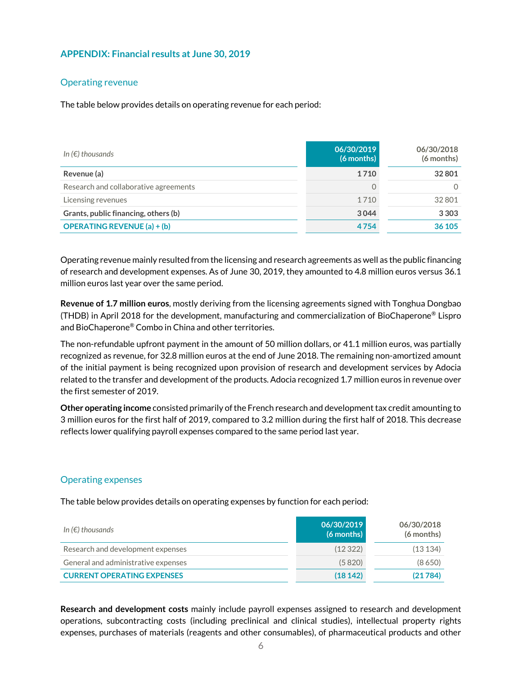## **APPENDIX: Financial results at June 30, 2019**

## Operating revenue

The table below provides details on operating revenue for each period:

| In $(\epsilon)$ thousands             | 06/30/2019<br>$(6$ months) | 06/30/2018<br>(6 months) |
|---------------------------------------|----------------------------|--------------------------|
| Revenue (a)                           | 1710                       | 32801                    |
| Research and collaborative agreements | 0                          | 0                        |
| Licensing revenues                    | 1710                       | 32801                    |
| Grants, public financing, others (b)  | 3044                       | 3 3 0 3                  |
| <b>OPERATING REVENUE (a) + (b)</b>    | 4754                       | 36 105                   |

Operating revenue mainly resulted from the licensing and research agreements as well as the public financing of research and development expenses. As of June 30, 2019, they amounted to 4.8 million euros versus 36.1 million euros last year over the same period.

**Revenue of 1.7 million euros**, mostly deriving from the licensing agreements signed with Tonghua Dongbao (THDB) in April 2018 for the development, manufacturing and commercialization of BioChaperone® Lispro and BioChaperone® Combo in China and other territories.

The non-refundable upfront payment in the amount of 50 million dollars, or 41.1 million euros, was partially recognized as revenue, for 32.8 million euros at the end of June 2018. The remaining non-amortized amount of the initial payment is being recognized upon provision of research and development services by Adocia related to the transfer and development of the products. Adocia recognized 1.7 million euros in revenue over the first semester of 2019.

**Other operating income** consisted primarily of the French research and development tax credit amounting to 3 million euros for the first half of 2019, compared to 3.2 million during the first half of 2018. This decrease reflects lower qualifying payroll expenses compared to the same period last year.

#### Operating expenses

The table below provides details on operating expenses by function for each period:

| In ( $\epsilon$ ) thousands         | 06/30/2019<br>$(6$ months) | 06/30/2018<br>(6 months) |
|-------------------------------------|----------------------------|--------------------------|
| Research and development expenses   | (12322)                    | (13134)                  |
| General and administrative expenses | (5820)                     | (8650)                   |
| <b>CURRENT OPERATING EXPENSES</b>   | (18142)                    | (21784)                  |

**Research and development costs** mainly include payroll expenses assigned to research and development operations, subcontracting costs (including preclinical and clinical studies), intellectual property rights expenses, purchases of materials (reagents and other consumables), of pharmaceutical products and other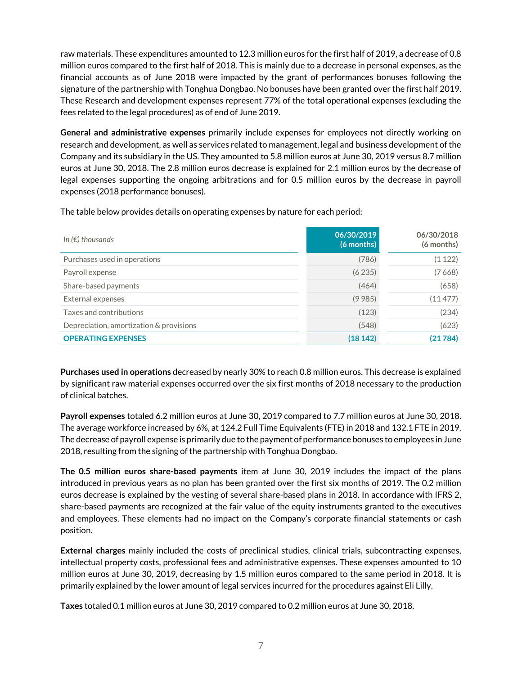raw materials. These expenditures amounted to 12.3 million euros for the first half of 2019, a decrease of 0.8 million euros compared to the first half of 2018. This is mainly due to a decrease in personal expenses, as the financial accounts as of June 2018 were impacted by the grant of performances bonuses following the signature of the partnership with Tonghua Dongbao. No bonuses have been granted over the first half 2019. These Research and development expenses represent 77% of the total operational expenses (excluding the fees related to the legal procedures) as of end of June 2019.

**General and administrative expenses** primarily include expenses for employees not directly working on research and development, as well as services related to management, legal and business development of the Company and its subsidiary in the US. They amounted to 5.8 million euros at June 30, 2019 versus 8.7 million euros at June 30, 2018. The 2.8 million euros decrease is explained for 2.1 million euros by the decrease of legal expenses supporting the ongoing arbitrations and for 0.5 million euros by the decrease in payroll expenses (2018 performance bonuses).

The table below provides details on operating expenses by nature for each period:

| In $(\epsilon)$ thousands               | 06/30/2019<br>$(6$ months) | 06/30/2018<br>(6 months) |
|-----------------------------------------|----------------------------|--------------------------|
| Purchases used in operations            | (786)                      | (1122)                   |
| Payroll expense                         | (6235)                     | (7668)                   |
| Share-based payments                    | (464)                      | (658)                    |
| External expenses                       | (9985)                     | (11477)                  |
| Taxes and contributions                 | (123)                      | (234)                    |
| Depreciation, amortization & provisions | (548)                      | (623)                    |
| <b>OPERATING EXPENSES</b>               | (18142)                    | (21784)                  |

**Purchases used in operations** decreased by nearly 30% to reach 0.8 million euros. This decrease is explained by significant raw material expenses occurred over the six first months of 2018 necessary to the production of clinical batches.

**Payroll expenses** totaled 6.2 million euros at June 30, 2019 compared to 7.7 million euros at June 30, 2018. The average workforce increased by 6%, at 124.2 Full Time Equivalents (FTE) in 2018 and 132.1 FTE in 2019. The decrease of payroll expense is primarily due to the payment of performance bonuses to employees in June 2018, resulting from the signing of the partnership with Tonghua Dongbao.

**The 0.5 million euros share-based payments** item at June 30, 2019 includes the impact of the plans introduced in previous years as no plan has been granted over the first six months of 2019. The 0.2 million euros decrease is explained by the vesting of several share-based plans in 2018. In accordance with IFRS 2, share-based payments are recognized at the fair value of the equity instruments granted to the executives and employees. These elements had no impact on the Company's corporate financial statements or cash position.

**External charges** mainly included the costs of preclinical studies, clinical trials, subcontracting expenses, intellectual property costs, professional fees and administrative expenses. These expenses amounted to 10 million euros at June 30, 2019, decreasing by 1.5 million euros compared to the same period in 2018. It is primarily explained by the lower amount of legal services incurred for the procedures against Eli Lilly.

**Taxes** totaled 0.1 million euros at June 30, 2019 compared to 0.2 million euros at June 30, 2018.